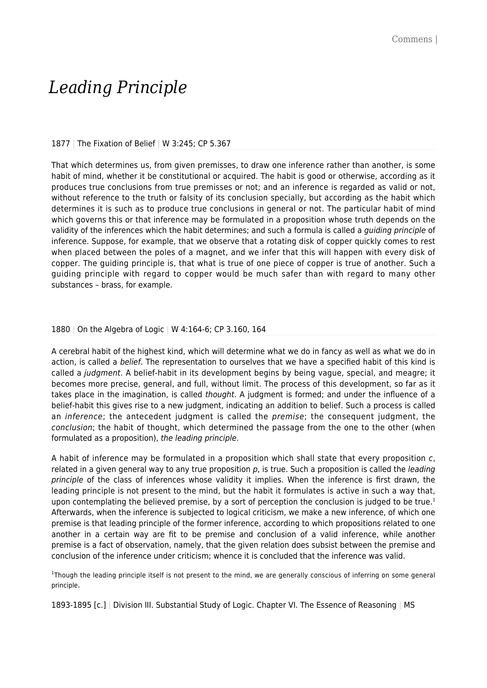## *Leading Principle*

## 1877 | The Fixation of Belief | W 3:245; CP 5.367

That which determines us, from given premisses, to draw one inference rather than another, is some habit of mind, whether it be constitutional or acquired. The habit is good or otherwise, according as it produces true conclusions from true premisses or not; and an inference is regarded as valid or not, without reference to the truth or falsity of its conclusion specially, but according as the habit which determines it is such as to produce true conclusions in general or not. The particular habit of mind which governs this or that inference may be formulated in a proposition whose truth depends on the validity of the inferences which the habit determines; and such a formula is called a *quiding principle* of inference. Suppose, for example, that we observe that a rotating disk of copper quickly comes to rest when placed between the poles of a magnet, and we infer that this will happen with every disk of copper. The guiding principle is, that what is true of one piece of copper is true of another. Such a guiding principle with regard to copper would be much safer than with regard to many other substances – brass, for example.

## 1880 | On the Algebra of Logic | W 4:164-6; CP 3.160, 164

A cerebral habit of the highest kind, which will determine what we do in fancy as well as what we do in action, is called a belief. The representation to ourselves that we have a specified habit of this kind is called a *judgment*. A belief-habit in its development begins by being vague, special, and meagre; it becomes more precise, general, and full, without limit. The process of this development, so far as it takes place in the imagination, is called thought. A judgment is formed; and under the influence of a belief-habit this gives rise to a new judgment, indicating an addition to belief. Such a process is called an *inference*; the antecedent judgment is called the *premise*; the consequent judgment, the conclusion; the habit of thought, which determined the passage from the one to the other (when formulated as a proposition), the leading principle.

A habit of inference may be formulated in a proposition which shall state that every proposition  $c$ , related in a given general way to any true proposition  $p$ , is true. Such a proposition is called the leading principle of the class of inferences whose validity it implies. When the inference is first drawn, the leading principle is not present to the mind, but the habit it formulates is active in such a way that, upon contemplating the believed premise, by a sort of perception the conclusion is judged to be true.<sup>1</sup> Afterwards, when the inference is subjected to logical criticism, we make a new inference, of which one premise is that leading principle of the former inference, according to which propositions related to one another in a certain way are fit to be premise and conclusion of a valid inference, while another premise is a fact of observation, namely, that the given relation does subsist between the premise and conclusion of the inference under criticism; whence it is concluded that the inference was valid.

<sup>1</sup>Though the leading principle itself is not present to the mind, we are generally conscious of inferring on some general principle.

1893-1895 [c.] | Division III. Substantial Study of Logic. Chapter VI. The Essence of Reasoning | MS